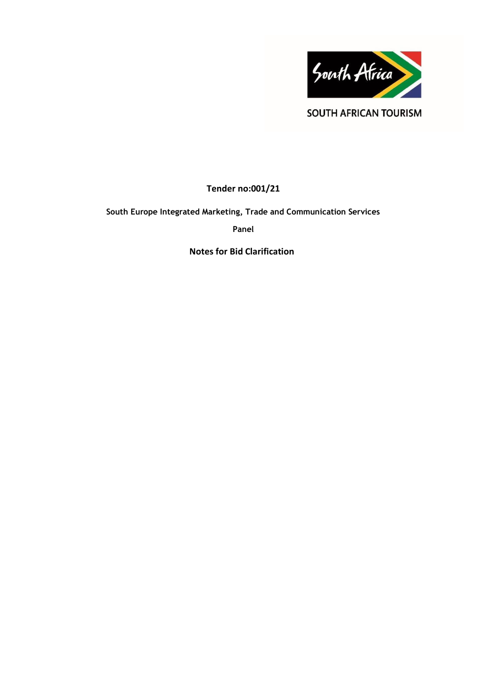

**SOUTH AFRICAN TOURISM** 

**Tender no:001/21**

**South Europe Integrated Marketing, Trade and Communication Services**

**Panel**

**Notes for Bid Clarification**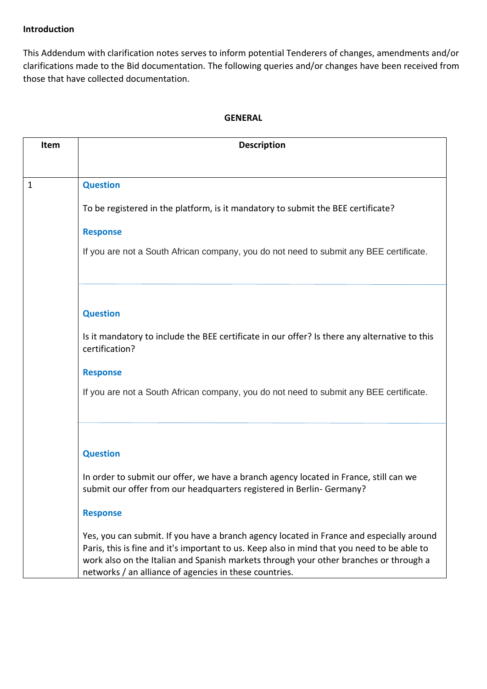# **Introduction**

This Addendum with clarification notes serves to inform potential Tenderers of changes, amendments and/or clarifications made to the Bid documentation. The following queries and/or changes have been received from those that have collected documentation.

# **GENERAL**

| Item | <b>Description</b>                                                                                                                                                                                                                                                                                                                         |
|------|--------------------------------------------------------------------------------------------------------------------------------------------------------------------------------------------------------------------------------------------------------------------------------------------------------------------------------------------|
|      |                                                                                                                                                                                                                                                                                                                                            |
| 1    | <b>Question</b>                                                                                                                                                                                                                                                                                                                            |
|      |                                                                                                                                                                                                                                                                                                                                            |
|      | To be registered in the platform, is it mandatory to submit the BEE certificate?                                                                                                                                                                                                                                                           |
|      | <b>Response</b>                                                                                                                                                                                                                                                                                                                            |
|      | If you are not a South African company, you do not need to submit any BEE certificate.                                                                                                                                                                                                                                                     |
|      |                                                                                                                                                                                                                                                                                                                                            |
|      | <b>Question</b>                                                                                                                                                                                                                                                                                                                            |
|      | Is it mandatory to include the BEE certificate in our offer? Is there any alternative to this<br>certification?                                                                                                                                                                                                                            |
|      | <b>Response</b>                                                                                                                                                                                                                                                                                                                            |
|      | If you are not a South African company, you do not need to submit any BEE certificate.                                                                                                                                                                                                                                                     |
|      |                                                                                                                                                                                                                                                                                                                                            |
|      | <b>Question</b>                                                                                                                                                                                                                                                                                                                            |
|      | In order to submit our offer, we have a branch agency located in France, still can we<br>submit our offer from our headquarters registered in Berlin- Germany?                                                                                                                                                                             |
|      | <b>Response</b>                                                                                                                                                                                                                                                                                                                            |
|      | Yes, you can submit. If you have a branch agency located in France and especially around<br>Paris, this is fine and it's important to us. Keep also in mind that you need to be able to<br>work also on the Italian and Spanish markets through your other branches or through a<br>networks / an alliance of agencies in these countries. |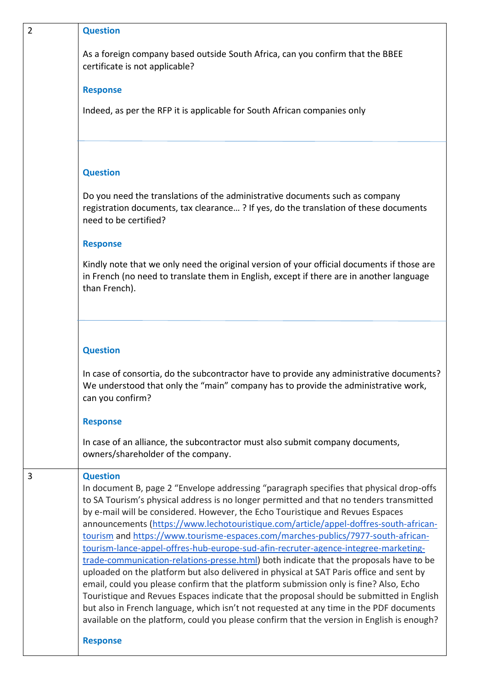| $\overline{2}$ | <b>Question</b>                                                                                                                                                                                                                                                                                                                                                                                                                                                                                                                                                                                                                                                                                                                                                                                                                                                                                                                                                                                                                                                                                                              |
|----------------|------------------------------------------------------------------------------------------------------------------------------------------------------------------------------------------------------------------------------------------------------------------------------------------------------------------------------------------------------------------------------------------------------------------------------------------------------------------------------------------------------------------------------------------------------------------------------------------------------------------------------------------------------------------------------------------------------------------------------------------------------------------------------------------------------------------------------------------------------------------------------------------------------------------------------------------------------------------------------------------------------------------------------------------------------------------------------------------------------------------------------|
|                | As a foreign company based outside South Africa, can you confirm that the BBEE<br>certificate is not applicable?                                                                                                                                                                                                                                                                                                                                                                                                                                                                                                                                                                                                                                                                                                                                                                                                                                                                                                                                                                                                             |
|                | <b>Response</b>                                                                                                                                                                                                                                                                                                                                                                                                                                                                                                                                                                                                                                                                                                                                                                                                                                                                                                                                                                                                                                                                                                              |
|                | Indeed, as per the RFP it is applicable for South African companies only                                                                                                                                                                                                                                                                                                                                                                                                                                                                                                                                                                                                                                                                                                                                                                                                                                                                                                                                                                                                                                                     |
|                | <b>Question</b>                                                                                                                                                                                                                                                                                                                                                                                                                                                                                                                                                                                                                                                                                                                                                                                                                                                                                                                                                                                                                                                                                                              |
|                | Do you need the translations of the administrative documents such as company<br>registration documents, tax clearance? If yes, do the translation of these documents<br>need to be certified?                                                                                                                                                                                                                                                                                                                                                                                                                                                                                                                                                                                                                                                                                                                                                                                                                                                                                                                                |
|                | <b>Response</b>                                                                                                                                                                                                                                                                                                                                                                                                                                                                                                                                                                                                                                                                                                                                                                                                                                                                                                                                                                                                                                                                                                              |
|                | Kindly note that we only need the original version of your official documents if those are<br>in French (no need to translate them in English, except if there are in another language<br>than French).                                                                                                                                                                                                                                                                                                                                                                                                                                                                                                                                                                                                                                                                                                                                                                                                                                                                                                                      |
|                | <b>Question</b><br>In case of consortia, do the subcontractor have to provide any administrative documents?                                                                                                                                                                                                                                                                                                                                                                                                                                                                                                                                                                                                                                                                                                                                                                                                                                                                                                                                                                                                                  |
|                | We understood that only the "main" company has to provide the administrative work,<br>can you confirm?                                                                                                                                                                                                                                                                                                                                                                                                                                                                                                                                                                                                                                                                                                                                                                                                                                                                                                                                                                                                                       |
|                | <b>Response</b>                                                                                                                                                                                                                                                                                                                                                                                                                                                                                                                                                                                                                                                                                                                                                                                                                                                                                                                                                                                                                                                                                                              |
|                | In case of an alliance, the subcontractor must also submit company documents,<br>owners/shareholder of the company.                                                                                                                                                                                                                                                                                                                                                                                                                                                                                                                                                                                                                                                                                                                                                                                                                                                                                                                                                                                                          |
| 3              | <b>Question</b><br>In document B, page 2 "Envelope addressing "paragraph specifies that physical drop-offs<br>to SA Tourism's physical address is no longer permitted and that no tenders transmitted<br>by e-mail will be considered. However, the Echo Touristique and Revues Espaces<br>announcements (https://www.lechotouristique.com/article/appel-doffres-south-african-<br>tourism and https://www.tourisme-espaces.com/marches-publics/7977-south-african-<br>tourism-lance-appel-offres-hub-europe-sud-afin-recruter-agence-integree-marketing-<br>trade-communication-relations-presse.html) both indicate that the proposals have to be<br>uploaded on the platform but also delivered in physical at SAT Paris office and sent by<br>email, could you please confirm that the platform submission only is fine? Also, Echo<br>Touristique and Revues Espaces indicate that the proposal should be submitted in English<br>but also in French language, which isn't not requested at any time in the PDF documents<br>available on the platform, could you please confirm that the version in English is enough? |
|                | <b>Response</b>                                                                                                                                                                                                                                                                                                                                                                                                                                                                                                                                                                                                                                                                                                                                                                                                                                                                                                                                                                                                                                                                                                              |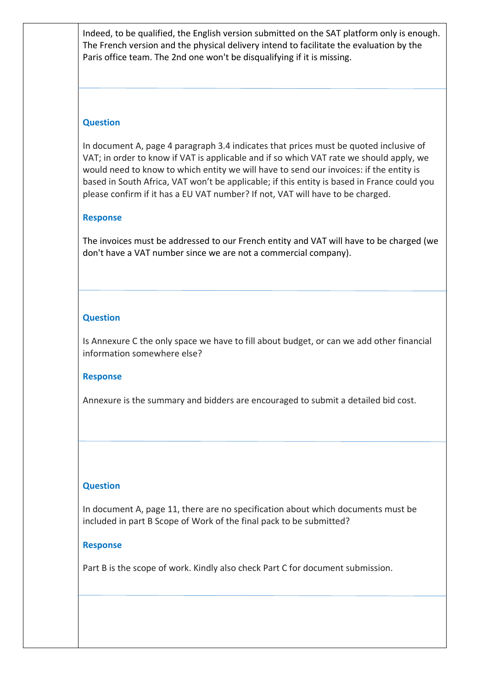Indeed, to be qualified, the English version submitted on the SAT platform only is enough. The French version and the physical delivery intend to facilitate the evaluation by the Paris office team. The 2nd one won't be disqualifying if it is missing.

# **Question**

In document A, page 4 paragraph 3.4 indicates that prices must be quoted inclusive of VAT; in order to know if VAT is applicable and if so which VAT rate we should apply, we would need to know to which entity we will have to send our invoices: if the entity is based in South Africa, VAT won't be applicable; if this entity is based in France could you please confirm if it has a EU VAT number? If not, VAT will have to be charged.

# **Response**

The invoices must be addressed to our French entity and VAT will have to be charged (we don't have a VAT number since we are not a commercial company).

# **Question**

Is Annexure C the only space we have to fill about budget, or can we add other financial information somewhere else?

### **Response**

Annexure is the summary and bidders are encouraged to submit a detailed bid cost.

# **Question**

In document A, page 11, there are no specification about which documents must be included in part B Scope of Work of the final pack to be submitted?

### **Response**

Part B is the scope of work. Kindly also check Part C for document submission.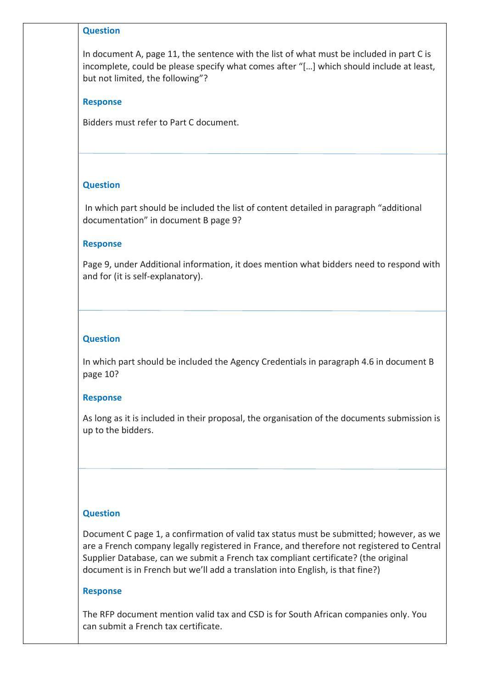#### **Question**

In document A, page 11, the sentence with the list of what must be included in part C is incomplete, could be please specify what comes after "[…] which should include at least, but not limited, the following"?

### **Response**

Bidders must refer to Part C document.

# **Question**

In which part should be included the list of content detailed in paragraph "additional documentation" in document B page 9?

### **Response**

Page 9, under Additional information, it does mention what bidders need to respond with and for (it is self-explanatory).

# **Question**

In which part should be included the Agency Credentials in paragraph 4.6 in document B page 10?

### **Response**

As long as it is included in their proposal, the organisation of the documents submission is up to the bidders.

### **Question**

Document C page 1, a confirmation of valid tax status must be submitted; however, as we are a French company legally registered in France, and therefore not registered to Central Supplier Database, can we submit a French tax compliant certificate? (the original document is in French but we'll add a translation into English, is that fine?)

#### **Response**

The RFP document mention valid tax and CSD is for South African companies only. You can submit a French tax certificate.